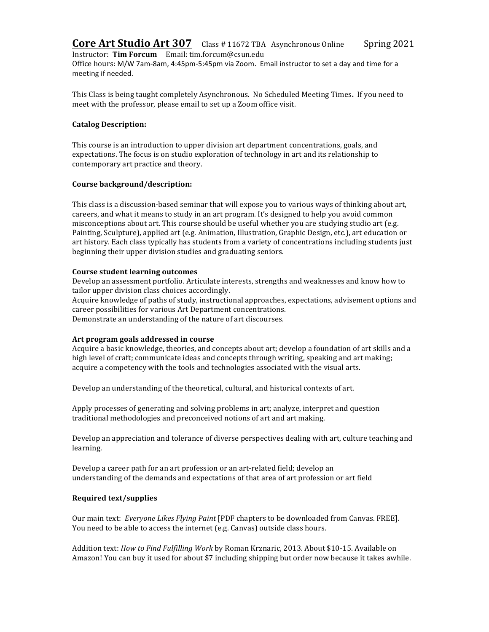**Core Art Studio Art 307** Class # 11672 TBA Asynchronous Online Spring 2021 Instructor: **Tim Forcum** Email: tim.forcum@csun.edu Office hours: M/W 7am-8am, 4:45pm-5:45pm via Zoom. Email instructor to set a day and time for a meeting if needed.

This Class is being taught completely Asynchronous. No Scheduled Meeting Times. If you need to meet with the professor, please email to set up a Zoom office visit.

# **Catalog Description:**

This course is an introduction to upper division art department concentrations, goals, and expectations. The focus is on studio exploration of technology in art and its relationship to contemporary art practice and theory.

#### **Course background/description:**

This class is a discussion-based seminar that will expose you to various ways of thinking about art, careers, and what it means to study in an art program. It's designed to help you avoid common misconceptions about art. This course should be useful whether you are studying studio art (e.g. Painting, Sculpture), applied art (e.g. Animation, Illustration, Graphic Design, etc.), art education or art history. Each class typically has students from a variety of concentrations including students just beginning their upper division studies and graduating seniors.

### **Course student learning outcomes**

Develop an assessment portfolio. Articulate interests, strengths and weaknesses and know how to tailor upper division class choices accordingly.

Acquire knowledge of paths of study, instructional approaches, expectations, advisement options and career possibilities for various Art Department concentrations. Demonstrate an understanding of the nature of art discourses.

#### Art program goals addressed in course

Acquire a basic knowledge, theories, and concepts about art; develop a foundation of art skills and a high level of craft; communicate ideas and concepts through writing, speaking and art making; acquire a competency with the tools and technologies associated with the visual arts.

Develop an understanding of the theoretical, cultural, and historical contexts of art.

Apply processes of generating and solving problems in art; analyze, interpret and question traditional methodologies and preconceived notions of art and art making.

Develop an appreciation and tolerance of diverse perspectives dealing with art, culture teaching and learning.

Develop a career path for an art profession or an art-related field; develop an understanding of the demands and expectations of that area of art profession or art field

# **Required text/supplies**

Our main text: *Everyone Likes Flying Paint* [PDF chapters to be downloaded from Canvas. FREE]. You need to be able to access the internet (e.g. Canvas) outside class hours.

Addition text: *How to Find Fulfilling Work* by Roman Krznaric, 2013. About \$10-15. Available on Amazon! You can buy it used for about \$7 including shipping but order now because it takes awhile.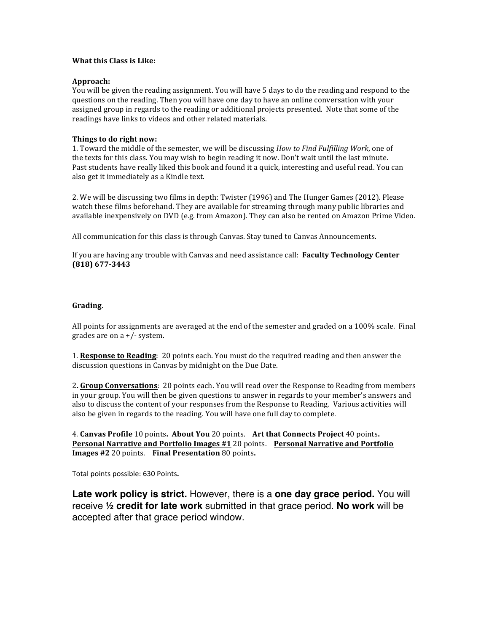# **What this Class is Like:**

#### **Approach:**

You will be given the reading assignment. You will have 5 days to do the reading and respond to the questions on the reading. Then you will have one day to have an online conversation with your assigned group in regards to the reading or additional projects presented. Note that some of the readings have links to videos and other related materials.

# **Things to do right now:**

1. Toward the middle of the semester, we will be discussing *How to Find Fulfilling Work*, one of the texts for this class. You may wish to begin reading it now. Don't wait until the last minute. Past students have really liked this book and found it a quick, interesting and useful read. You can also get it immediately as a Kindle text.

2. We will be discussing two films in depth: Twister (1996) and The Hunger Games (2012). Please watch these films beforehand. They are available for streaming through many public libraries and available inexpensively on DVD (e.g. from Amazon). They can also be rented on Amazon Prime Video.

All communication for this class is through Canvas. Stay tuned to Canvas Announcements.

If you are having any trouble with Canvas and need assistance call: **Faculty Technology Center (818) 677-3443**

### **Grading**.

All points for assignments are averaged at the end of the semester and graded on a  $100\%$  scale. Final grades are on  $a +/-$  system.

1. **Response to Reading**: 20 points each. You must do the required reading and then answer the discussion questions in Canvas by midnight on the Due Date.

2. Group Conversations: 20 points each. You will read over the Response to Reading from members in your group. You will then be given questions to answer in regards to your member's answers and also to discuss the content of your responses from the Response to Reading. Various activities will also be given in regards to the reading. You will have one full day to complete.

4. **Canvas Profile** 10 points. **About You** 20 points. **Art that Connects Project** 40 points. **Personal Narrative and Portfolio Images #1** 20 points. Personal Narrative and Portfolio **Images #2** 20 points. **Final Presentation** 80 points**.** 

Total points possible: 630 Points.

**Late work policy is strict.** However, there is a **one day grace period.** You will receive **½ credit for late work** submitted in that grace period. **No work** will be accepted after that grace period window.